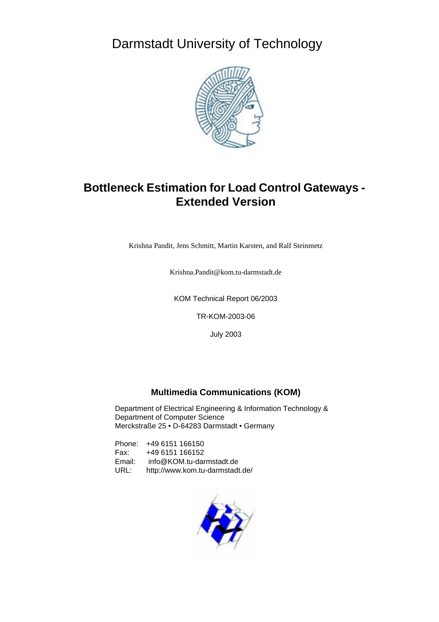Darmstadt University of Technology



## **Bottleneck Estimation for Load Control Gateways - Extended Version**

Krishna Pandit, Jens Schmitt, Martin Karsten, and Ralf Steinmetz

Krishna.Pandit@kom.tu-darmstadt.de

KOM Technical Report 06/2003

TR-KOM-2003-06

July 2003

## **Multimedia Communications (KOM)**

Department of Electrical Engineering & Information Technology & Department of Computer Science Merckstraße 25 • D-64283 Darmstadt • Germany

Phone: +49 6151 166150 Fax: +49 6151 166152 Email: info@KOM.tu-darmstadt.de URL: http://www.kom.tu-darmstadt.de/

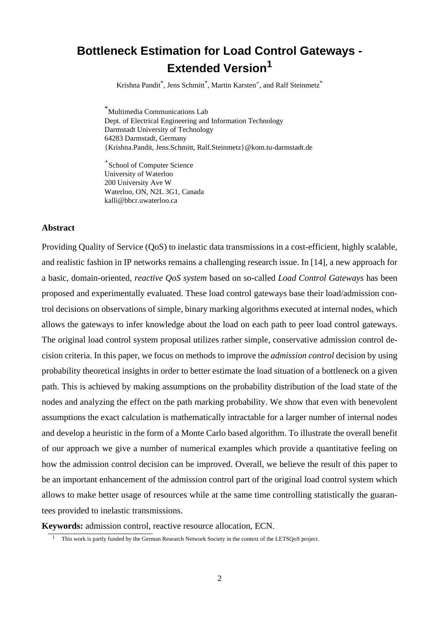# **Bottleneck Estimation for Load Control Gateways - Extended Version1**

Krishna Pandit<sup>\*</sup>, Jens Schmitt<sup>\*</sup>, Martin Karsten<sup>+</sup>, and Ralf Steinmetz<sup>\*</sup>

\* Multimedia Communications Lab Dept. of Electrical Engineering and Information Technology Darmstadt University of Technology 64283 Darmstadt, Germany {Krishna.Pandit, Jens.Schmitt, Ralf.Steinmetz}@kom.tu-darmstadt.de

+School of Computer Science University of Waterloo 200 University Ave W Waterloo, ON, N2L 3G1, Canada kalli@bbcr.uwaterloo.ca

#### **Abstract**

Providing Quality of Service (QoS) to inelastic data transmissions in a cost-efficient, highly scalable, and realistic fashion in IP networks remains a challenging research issue. In [\[14\],](#page-17-0) a new approach for a basic, domain-oriented, *reactive QoS system* based on so-called *Load Control Gateways* has been proposed and experimentally evaluated. These load control gateways base their load/admission control decisions on observations of simple, binary marking algorithms executed at internal nodes, which allows the gateways to infer knowledge about the load on each path to peer load control gateways. The original load control system proposal utilizes rather simple, conservative admission control decision criteria. In this paper, we focus on methods to improve the *admission control* decision by using probability theoretical insights in order to better estimate the load situation of a bottleneck on a given path. This is achieved by making assumptions on the probability distribution of the load state of the nodes and analyzing the effect on the path marking probability. We show that even with benevolent assumptions the exact calculation is mathematically intractable for a larger number of internal nodes and develop a heuristic in the form of a Monte Carlo based algorithm. To illustrate the overall benefit of our approach we give a number of numerical examples which provide a quantitative feeling on how the admission control decision can be improved. Overall, we believe the result of this paper to be an important enhancement of the admission control part of the original load control system which allows to make better usage of resources while at the same time controlling statistically the guarantees provided to inelastic transmissions.

**Keywords:** admission control, reactive resource allocation, ECN.

<sup>&</sup>lt;sup>1</sup> This work is partly funded by the German Research Network Society in the context of the LETSQoS project.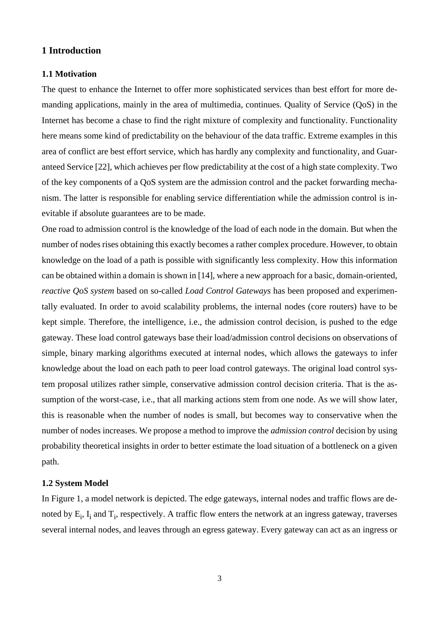## **1 Introduction**

#### **1.1 Motivation**

The quest to enhance the Internet to offer more sophisticated services than best effort for more demanding applications, mainly in the area of multimedia, continues. Quality of Service (QoS) in the Internet has become a chase to find the right mixture of complexity and functionality. Functionality here means some kind of predictability on the behaviour of the data traffic. Extreme examples in this area of conflict are best effort service, which has hardly any complexity and functionality, and Guaranteed Service [\[22\],](#page-17-0) which achieves per flow predictability at the cost of a high state complexity. Two of the key components of a QoS system are the admission control and the packet forwarding mechanism. The latter is responsible for enabling service differentiation while the admission control is inevitable if absolute guarantees are to be made.

One road to admission control is the knowledge of the load of each node in the domain. But when the number of nodes rises obtaining this exactly becomes a rather complex procedure. However, to obtain knowledge on the load of a path is possible with significantly less complexity. How this information can be obtained within a domain is shown in [\[14\],](#page-17-0) where a new approach for a basic, domain-oriented, *reactive QoS system* based on so-called *Load Control Gateways* has been proposed and experimentally evaluated. In order to avoid scalability problems, the internal nodes (core routers) have to be kept simple. Therefore, the intelligence, i.e., the admission control decision, is pushed to the edge gateway. These load control gateways base their load/admission control decisions on observations of simple, binary marking algorithms executed at internal nodes, which allows the gateways to infer knowledge about the load on each path to peer load control gateways. The original load control system proposal utilizes rather simple, conservative admission control decision criteria. That is the assumption of the worst-case, i.e., that all marking actions stem from one node. As we will show later, this is reasonable when the number of nodes is small, but becomes way to conservative when the number of nodes increases. We propose a method to improve the *admission control* decision by using probability theoretical insights in order to better estimate the load situation of a bottleneck on a given path.

### **1.2 System Model**

In Figure [1](#page-3-0), a model network is depicted. The edge gateways, internal nodes and traffic flows are denoted by  $E_i$ ,  $I_i$  and  $T_i$ , respectively. A traffic flow enters the network at an ingress gateway, traverses several internal nodes, and leaves through an egress gateway. Every gateway can act as an ingress or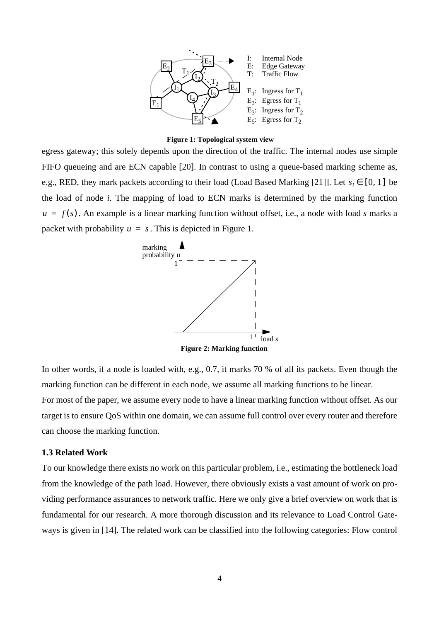<span id="page-3-0"></span>

#### **Figure 1: Topological system view**

egress gateway; this solely depends upon the direction of the traffic. The internal nodes use simple FIFO queueing and are ECN capable [\[20\].](#page-17-0) In contrast to using a queue-based marking scheme as, e.g., RED, they mark packets according to their load (Load Based Marking [\[21\]](#page-17-0)]. Let  $s_i \in [0, 1]$  be the load of node *i*. The mapping of load to ECN marks is determined by the marking function  $u = f(s)$ . An example is a linear marking function without offset, i.e., a node with load *s* marks a packet with probability  $u = s$ . This is depicted in Figure 1.



**Figure 2: Marking function**

In other words, if a node is loaded with, e.g., 0.7, it marks 70 % of all its packets. Even though the marking function can be different in each node, we assume all marking functions to be linear. For most of the paper, we assume every node to have a linear marking function without offset. As our target is to ensure QoS within one domain, we can assume full control over every router and therefore can choose the marking function.

#### **1.3 Related Work**

To our knowledge there exists no work on this particular problem, i.e., estimating the bottleneck load from the knowledge of the path load. However, there obviously exists a vast amount of work on providing performance assurances to network traffic. Here we only give a brief overview on work that is fundamental for our research. A more thorough discussion and its relevance to Load Control Gateways is given in [\[14\].](#page-17-0) The related work can be classified into the following categories: Flow control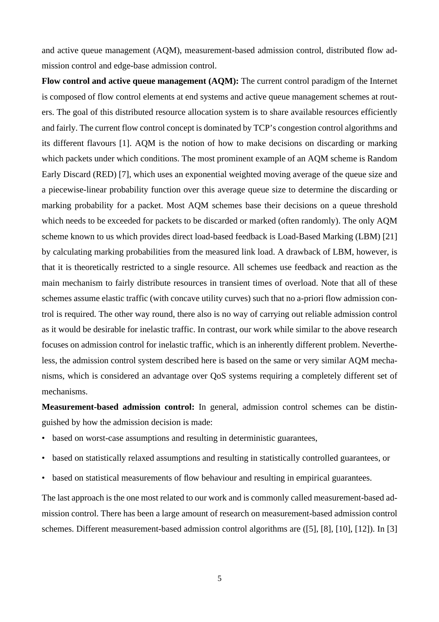and active queue management (AQM), measurement-based admission control, distributed flow admission control and edge-base admission control.

**Flow control and active queue management (AQM):** The current control paradigm of the Internet is composed of flow control elements at end systems and active queue management schemes at routers. The goal of this distributed resource allocation system is to share available resources efficiently and fairly. The current flow control concept is dominated by TCP's congestion control algorithms and its different flavours [\[1\].](#page-16-0) AQM is the notion of how to make decisions on discarding or marking which packets under which conditions. The most prominent example of an AQM scheme is Random Early Discard (RED) [\[7\],](#page-16-0) which uses an exponential weighted moving average of the queue size and a piecewise-linear probability function over this average queue size to determine the discarding or marking probability for a packet. Most AQM schemes base their decisions on a queue threshold which needs to be exceeded for packets to be discarded or marked (often randomly). The only AQM scheme known to us which provides direct load-based feedback is Load-Based Marking (LBM) [\[21\]](#page-17-0) by calculating marking probabilities from the measured link load. A drawback of LBM, however, is that it is theoretically restricted to a single resource. All schemes use feedback and reaction as the main mechanism to fairly distribute resources in transient times of overload. Note that all of these schemes assume elastic traffic (with concave utility curves) such that no a-priori flow admission control is required. The other way round, there also is no way of carrying out reliable admission control as it would be desirable for inelastic traffic. In contrast, our work while similar to the above research focuses on admission control for inelastic traffic, which is an inherently different problem. Nevertheless, the admission control system described here is based on the same or very similar AQM mechanisms, which is considered an advantage over QoS systems requiring a completely different set of mechanisms.

**Measurement-based admission control:** In general, admission control schemes can be distinguished by how the admission decision is made:

- based on worst-case assumptions and resulting in deterministic guarantees,
- based on statistically relaxed assumptions and resulting in statistically controlled guarantees, or
- based on statistical measurements of flow behaviour and resulting in empirical guarantees.

The last approach is the one most related to our work and is commonly called measurement-based admission control. There has been a large amount of research on measurement-based admission control schemes. Different measurement-based admission control algorithms are [\(\[5\]](#page-16-0), [\[8\]](#page-16-0), [\[10\]](#page-16-0), [\[12\]\)](#page-17-0). In [\[3\]](#page-16-0)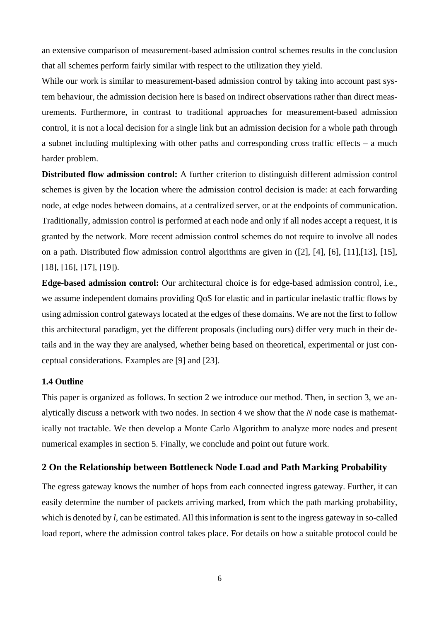an extensive comparison of measurement-based admission control schemes results in the conclusion that all schemes perform fairly similar with respect to the utilization they yield.

While our work is similar to measurement-based admission control by taking into account past system behaviour, the admission decision here is based on indirect observations rather than direct measurements. Furthermore, in contrast to traditional approaches for measurement-based admission control, it is not a local decision for a single link but an admission decision for a whole path through a subnet including multiplexing with other paths and corresponding cross traffic effects – a much harder problem.

**Distributed flow admission control:** A further criterion to distinguish different admission control schemes is given by the location where the admission control decision is made: at each forwarding node, at edge nodes between domains, at a centralized server, or at the endpoints of communication. Traditionally, admission control is performed at each node and only if all nodes accept a request, it is granted by the network. More recent admission control schemes do not require to involve all nodes on a path. Distributed flow admission control algorithms are given in [\(\[2\], \[4\], \[6\]](#page-16-0)[, \[11\],\[13\], \[15\],](#page-17-0) [\[18\],](#page-17-0) [\[16\],](#page-17-0) [[17\], \[19\]\).](#page-17-0)

**Edge-based admission control:** Our architectural choice is for edge-based admission control, i.e., we assume independent domains providing QoS for elastic and in particular inelastic traffic flows by using admission control gateways located at the edges of these domains. We are not the first to follow this architectural paradigm, yet the different proposals (including ours) differ very much in their details and in the way they are analysed, whether being based on theoretical, experimental or just conceptual considerations. Examples are [[9\] an](#page-16-0)d [2[3\].](#page-17-0)

### **1.4 Outline**

This paper is organized as follows. In section 2 we introduce our method. Then, in section [3](#page-6-0), we analytically discuss a network with two nodes. In sectio[n 4](#page-10-0) we show that the *N* node case is mathematically not tractable. We then develop a Monte Carlo Algorithm to analyze more nodes and present numerical examples in section [5.](#page-13-0) Finally, we conclude and point out future work.

### **2 On the Relationship between Bottleneck Node Load and Path Marking Probability**

The egress gateway knows the number of hops from each connected ingress gateway. Further, it can easily determine the number of packets arriving marked, from which the path marking probability, which is denoted by *l*, can be estimated. All this information is sent to the ingress gateway in so-called load report, where the admission control takes place. For details on how a suitable protocol could be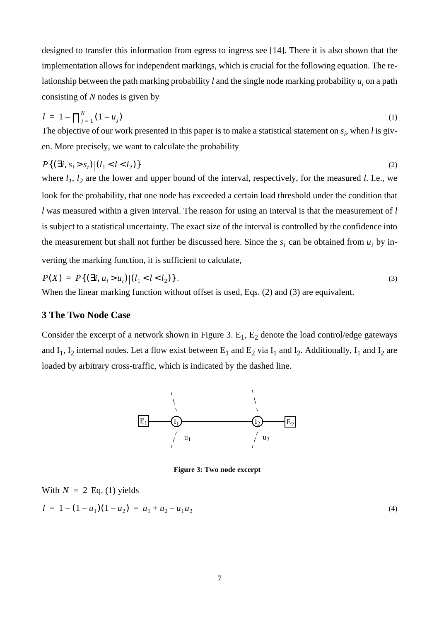<span id="page-6-0"></span>designed to transfer this information from egress to ingress see [\[14\].](#page-17-0) There it is also shown that the implementation allows for independent markings, which is crucial for the following equation. The relationship between the path marking probability *l* and the single node marking probability  $u_i$  on a path consisting of *N* nodes is given by

$$
l = 1 - \prod_{j=1}^{N} (1 - u_j)
$$
 (1)

The objective of our work presented in this paper is to make a statistical statement on *si* , when *l* is given. More precisely, we want to calculate the probability

$$
P\{(\exists i, s_i > s_t) | (l_1 < l < l_2)\}\tag{2}
$$

where  $l_1$ ,  $l_2$  are the lower and upper bound of the interval, respectively, for the measured *l*. I.e., we look for the probability, that one node has exceeded a certain load threshold under the condition that *l* was measured within a given interval. The reason for using an interval is that the measurement of *l* is subject to a statistical uncertainty. The exact size of the interval is controlled by the confidence into the measurement but shall not further be discussed here. Since the  $s_i$  can be obtained from  $u_i$  by inverting the marking function, it is sufficient to calculate,

$$
P(X) = P\{ (\exists i, u_i > u_t) | (l_1 < l < l_2) \}.
$$
 (3)

When the linear marking function without offset is used, Eqs. (2) and (3) are equivalent.

## **3 The Two Node Case**

Consider the excerpt of a network shown in Figure 3.  $E_1$ ,  $E_2$  denote the load control/edge gateways and  $I_1$ ,  $I_2$  internal nodes. Let a flow exist between  $E_1$  and  $E_2$  via  $I_1$  and  $I_2$ . Additionally,  $I_1$  and  $I_2$  are loaded by arbitrary cross-traffic, which is indicated by the dashed line.



**Figure 3: Two node excerpt**

With  $N = 2$  Eq. (1) yields  $l = 1 - (1 - u_1)(1 - u_2) = u_1 + u_2 - u_1u_2$ 

(4)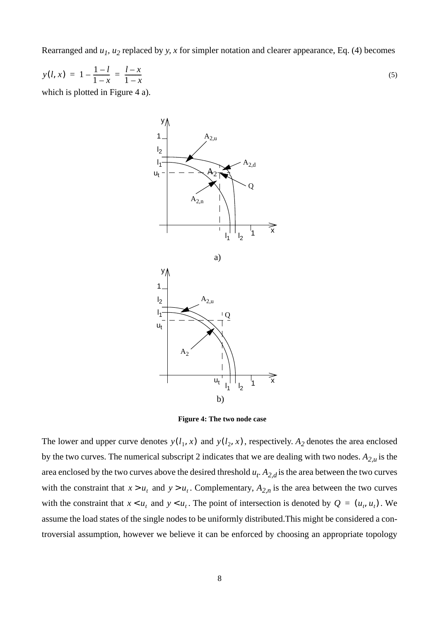<span id="page-7-0"></span>Rearranged and  $u_1$ ,  $u_2$  replaced by *y*, *x* for simpler notation and clearer appearance, Eq. [\(4\)](#page-6-0) becomes

$$
y(l, x) = 1 - \frac{1 - l}{1 - x} = \frac{l - x}{1 - x}
$$
\n(5)

which is plotted in Figure 4 a).



**Figure 4: The two node case**

The lower and upper curve denotes  $y(l_1, x)$  and  $y(l_2, x)$ , respectively.  $A_2$  denotes the area enclosed by the two curves. The numerical subscript 2 indicates that we are dealing with two nodes.  $A_{2,u}$  is the area enclosed by the two curves above the desired threshold  $u_t$ .  $A_{2,d}$  is the area between the two curves with the constraint that  $x > u_t$  and  $y > u_t$ . Complementary,  $A_{2,n}$  is the area between the two curves with the constraint that  $x < u_t$  and  $y < u_t$ . The point of intersection is denoted by  $Q = (u_t, u_t)$ . We assume the load states of the single nodes to be uniformly distributed.This might be considered a controversial assumption, however we believe it can be enforced by choosing an appropriate topology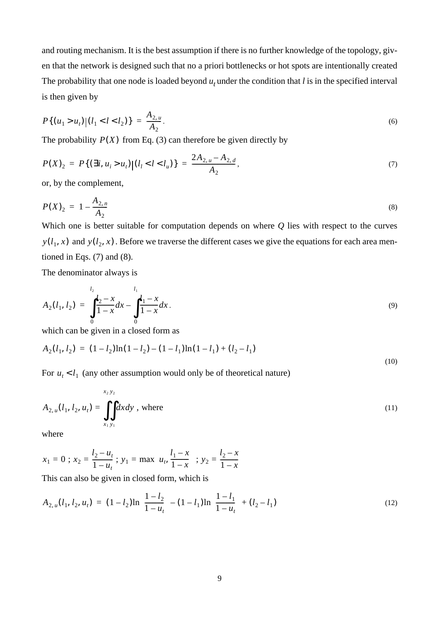<span id="page-8-0"></span>and routing mechanism. It is the best assumption if there is no further knowledge of the topology, given that the network is designed such that no a priori bottlenecks or hot spots are intentionally created The probability that one node is loaded beyond  $u_t$  under the condition that *l* is in the specified interval is then given by

$$
P\{(u_1 > u_t) | (l_1 < l < l_2)\} = \frac{A_{2,u}}{A_2}.
$$
\n<sup>(6)</sup>

The probability  $P(X)$  from Eq. [\(3\)](#page-6-0) can therefore be given directly by

$$
P(X)_2 = P\{(\exists i, u_i > u_i) | (l_i < l < l_u)\} = \frac{2A_{2,u} - A_{2,d}}{A_2},\tag{7}
$$

or, by the complement,

$$
P(X)_2 = 1 - \frac{A_{2,n}}{A_2} \tag{8}
$$

Which one is better suitable for computation depends on where *Q* lies with respect to the curves  $y(l_1, x)$  and  $y(l_2, x)$ . Before we traverse the different cases we give the equations for each area mentioned in Eqs.  $(7)$  and  $(8)$ .

The denominator always is

$$
A_2(l_1, l_2) = \int_0^{l_2} \frac{l_2 - x}{1 - x} dx - \int_0^{l_1} \frac{l_1 - x}{1 - x} dx.
$$
\n(9)

which can be given in a closed form as

$$
A_2(l_1, l_2) = (1 - l_2) \ln(1 - l_2) - (1 - l_1) \ln(1 - l_1) + (l_2 - l_1)
$$
\n(10)

For  $u_t < l_1$  (any other assumption would only be of theoretical nature)

$$
A_{2,u}(l_1, l_2, u_t) = \int_{x_1 y_1}^{x_2 y_2} dx dy
$$
, where (11)

where

$$
x_1 = 0
$$
;  $x_2 = \frac{l_2 - u_t}{1 - u_t}$ ;  $y_1 = \max(u_t, \frac{l_1 - x}{1 - x})$ ;  $y_2 = \frac{l_2 - x}{1 - x}$ 

This can also be given in closed form, which is

$$
A_{2,u}(l_1, l_2, u_t) = (1 - l_2) \ln \left( \frac{1 - l_2}{1 - u_t} \right) - (1 - l_1) \ln \left( \frac{1 - l_1}{1 - u_t} \right) + (l_2 - l_1)
$$
\n(12)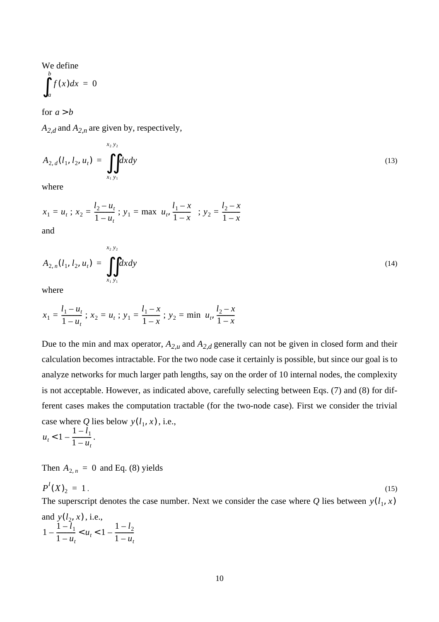<span id="page-9-0"></span>We define  
\n
$$
\int_a^b f(x)dx = 0
$$

for  $a > b$ 

 $A_{2,d}$  and  $A_{2,n}$  are given by, respectively,

$$
A_{2, d}(l_1, l_2, u_t) = \int_{x_1 y_1}^{x_2 y_2} dx dy
$$
\nwhere

where

$$
x_1 = u_t
$$
;  $x_2 = \frac{l_2 - u_t}{1 - u_t}$ ;  $y_1 = \max(u_t, \frac{l_1 - x}{1 - x})$ ;  $y_2 = \frac{l_2 - x}{1 - x}$ 

and

$$
A_{2,n}(l_1, l_2, u_t) = \int_{x_1 y_1}^{x_2 y_2} dx dy
$$
\nwhere

where

$$
x_1 = \frac{l_1 - u_t}{1 - u_t} \; ; \; x_2 = u_t \; ; \; y_1 = \frac{l_1 - x}{1 - x} \; ; \; y_2 = \min\left(u_t, \frac{l_2 - x}{1 - x}\right)
$$

Due to the min and max operator,  $A_{2,u}$  and  $A_{2,d}$  generally can not be given in closed form and their calculation becomes intractable. For the two node case it certainly is possible, but since our goal is to analyze networks for much larger path lengths, say on the order of 10 internal nodes, the complexity is not acceptable. However, as indicated above, carefully selecting between Eqs. [\(7\)](#page-8-0) and [\(8\) f](#page-8-0)or different cases makes the computation tractable (for the two-node case). First we consider the trivial case where Q lies below  $y(l_1, x)$ , i.e.,

$$
u_t < 1 - \frac{1 - l_1}{1 - u_t}.
$$

Then  $A_{2,n} = 0$  and Eq. [\(8\) y](#page-8-0)ields

$$
P^{I}(X)_{2} = 1. \t\t(15)
$$

The superscript denotes the case number. Next we consider the case where  $Q$  lies between  $y(l_1, x)$ 

and  $y(l_2, x)$ , i.e.,  $1 - \frac{1 - l_1}{1}$  $1 - u_t$  $-\frac{1}{1-u} < u_t < 1$  $1 - l_2$  $1 - u_t$  $</u>$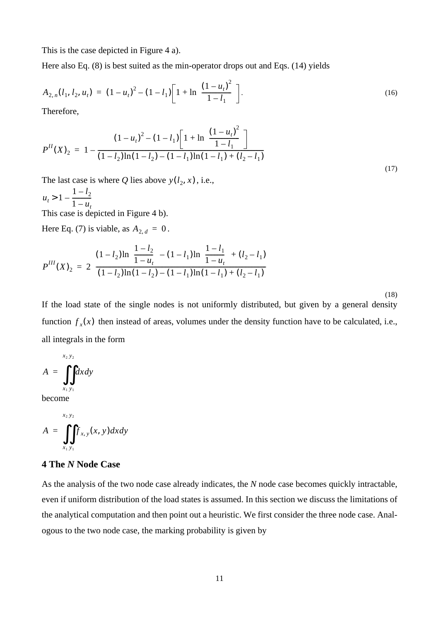<span id="page-10-0"></span>This is the case depicted in Figure 4 [a\)](#page-7-0).

Here also Eq. ([8\) is](#page-8-0) best suited as the min-operator drops out and Eqs. (14) [yield](#page-9-0)s

$$
A_{2,n}(l_1, l_2, u_t) = (1 - u_t)^2 - (1 - l_1) \left[ 1 + \ln \left( \frac{(1 - u_t)^2}{1 - l_1} \right) \right].
$$
\n(16)

Therefore,

$$
P^{II}(X)_2 = 1 - \frac{(1 - u_t)^2 - (1 - l_1)\left[1 + \ln\left(\frac{(1 - u_t)^2}{1 - l_1}\right)\right]}{(1 - l_2)\ln(1 - l_2) - (1 - l_1)\ln(1 - l_1) + (l_2 - l_1)}
$$
\n(17)

The last case is where Q lies above  $y(l_2, x)$ , i.e.,

 $u_t > 1$  $1 - l_2$  $1 - u_t$  $> 1 - \frac{1}{1}$ 

This case is depicted in Figure 4 [b](#page-7-0)).

Here Eq. [\(7\) i](#page-8-0)s viable, as  $A_{2,d} = 0$ .

$$
P^{III}(X)_2 = 2\left(\frac{(1 - l_2)\ln\left(\frac{1 - l_2}{1 - u_t}\right) - (1 - l_1)\ln\left(\frac{1 - l_1}{1 - u_t}\right) + (l_2 - l_1)}{(1 - l_2)\ln(1 - l_2) - (1 - l_1)\ln(1 - l_1) + (l_2 - l_1)}\right)
$$

If the load state of the single nodes is not uniformly distributed, but given by a general density function  $f_x(x)$  then instead of areas, volumes under the density function have to be calculated, i.e., all integrals in the form

(18)

$$
A = \int_{x_1 y_1}^{x_2 y_2} dx dy
$$

become

$$
A = \int_{x_1 y_1}^{x_2 y_2} f_{x, y}(x, y) dx dy
$$

### **4 The** *N* **Node Case**

As the analysis of the two node case already indicates, the *N* node case becomes quickly intractable, even if uniform distribution of the load states is assumed. In this section we discuss the limitations of the analytical computation and then point out a heuristic. We first consider the three node case. Analogous to the two node case, the marking probability is given by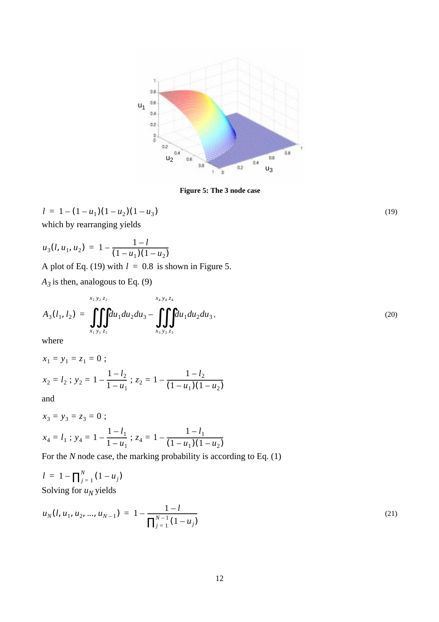<span id="page-11-0"></span>

**Figure 5: The 3 node case**

$$
l = 1 - (1 - u1)(1 - u2)(1 - u3)
$$
  
which by rearranging yields

$$
u_3(l, u_1, u_2) = 1 - \frac{1 - l}{(1 - u_1)(1 - u_2)}
$$

A plot of Eq. (19) with  $l = 0.8$  is shown in Figure 5.

 $A_3$  is then, analogous to Eq. ([9\)](#page-8-0)

$$
A_3(l_1, l_2) = \iiint\limits_{x_1, y_1, z_1}^{x_2, y_2, z_2} du_1 du_2 du_3 - \iiint\limits_{x_3, y_3, z_3}^{x_4, y_4, z_4} du_1 du_2 du_3,
$$
\n(20)

where

$$
x_1 = y_1 = z_1 = 0
$$
;  
 $x_2 = l_2$ ;  $y_2 = 1 - \frac{1 - l_2}{1 - u_1}$ ;  $z_2 = 1 - \frac{1 - l_2}{(1 - u_1)(1 - u_2)}$ 

and

$$
x_3 = y_3 = z_3 = 0
$$
;  
 $x_4 = l_1$ ;  $y_4 = 1 - \frac{1 - l_1}{1 - u_1}$ ;  $z_4 = 1 - \frac{1 - l_1}{(1 - u_1)(1 - u_2)}$ 

For the *N* node case, the marking probability is according to Eq. (1[\)](#page-6-0)

$$
l = 1 - \prod_{j=1}^{N} (1 - u_j)
$$
  
Solving for *u* yields

Solving for  $u_N$  yields

$$
u_N(l, u_1, u_2, ..., u_{N-1}) = 1 - \frac{1 - l}{\prod_{j=1}^{N-1} (1 - u_j)}
$$
(21)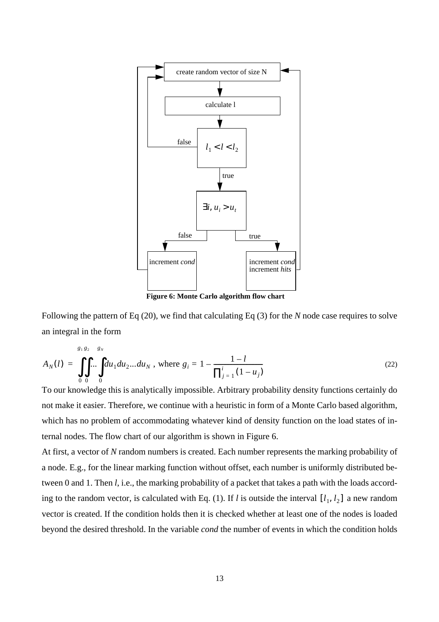

**Figure 6: Monte Carlo algorithm flow chart**

Following the pattern of Eq [\(20\),](#page-11-0) we find that calculating E[q \(3\)](#page-6-0) for the *N* node case requires to solve an integral in the form

$$
A_N(l) = \int_0^{g_1 g_2} \int_0^{g_N} \cdots \int_0^{g_N} du_1 du_2 \cdots du_N, \text{ where } g_i = 1 - \frac{1 - l}{\prod_{j=1}^i (1 - u_j)}
$$
(22)

To our knowledge this is analytically impossible. Arbitrary probability density functions certainly do not make it easier. Therefore, we continue with a heuristic in form of a Monte Carlo based algorithm, which has no problem of accommodating whatever kind of density function on the load states of internal nodes. The flow chart of our algorithm is shown in Figure 6.

At first, a vector of *N* random numbers is created. Each number represents the marking probability of a node. E.g., for the linear marking function without offset, each number is uniformly distributed between 0 and 1. Then *l*, i.e., the marking probability of a packet that takes a path with the loads accord-ing to the random vector, is calculated with Eq. [\(1\).](#page-6-0) If *l* is outside the interval  $[l_1, l_2]$  a new random vector is created. If the condition holds then it is checked whether at least one of the nodes is loaded beyond the desired threshold. In the variable *cond* the number of events in which the condition holds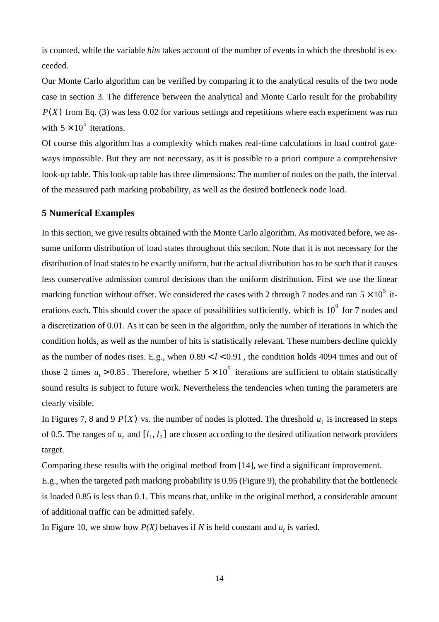<span id="page-13-0"></span>is counted, while the variable *hits* takes account of the number of events in which the threshold is exceeded.

Our Monte Carlo algorithm can be verified by comparing it to the analytical results of the two node case in section [3.](#page-6-0) The difference between the analytical and Monte Carlo result for the probability  $P(X)$  from Eq[. \(3\)](#page-6-0) was less 0.02 for various settings and repetitions where each experiment was run with  $5 \times 10^5$  iterations.

Of course this algorithm has a complexity which makes real-time calculations in load control gateways impossible. But they are not necessary, as it is possible to a priori compute a comprehensive look-up table. This look-up table has three dimensions: The number of nodes on the path, the interval of the measured path marking probability, as well as the desired bottleneck node load.

## **5 Numerical Examples**

In this section, we give results obtained with the Monte Carlo algorithm. As motivated before, we assume uniform distribution of load states throughout this section. Note that it is not necessary for the distribution of load states to be exactly uniform, but the actual distribution has to be such that it causes less conservative admission control decisions than the uniform distribution. First we use the linear marking function without offset. We considered the cases with 2 through 7 nodes and ran  $5 \times 10^5$  iterations each. This should cover the space of possibilities sufficiently, which is  $10<sup>9</sup>$  for 7 nodes and a discretization of 0.01. As it can be seen in the algorithm, only the number of iterations in which the condition holds, as well as the number of hits is statistically relevant. These numbers decline quickly as the number of nodes rises. E.g., when  $0.89 < l < 0.91$ , the condition holds 4094 times and out of those 2 times  $u_t > 0.85$ . Therefore, whether  $5 \times 10^5$  iterations are sufficient to obtain statistically sound results is subject to future work. Nevertheless the tendencies when tuning the parameters are clearly visible.

In Figures [7,](#page-14-0) [8](#page-14-0) and [9](#page-14-0)  $P(X)$  vs. the number of nodes is plotted. The threshold  $u_t$  is increased in steps of 0.5. The ranges of  $u_t$  and  $\begin{bmatrix} l_1, l_2 \end{bmatrix}$  are chosen according to the desired utilization network providers target.

Comparing these results with the original method from [[14\], w](#page-17-0)e find a significant improvement.

E.g., when the targeted path marking probability is 0.95 (Figure [9](#page-14-0)), the probability that the bottleneck is loaded 0.85 is less than 0.1. This means that, unlike in the original method, a considerable amount of additional traffic can be admitted safely.

In Figure [10,](#page-15-0) we show how  $P(X)$  behaves if *N* is held constant and  $u_t$  is varied.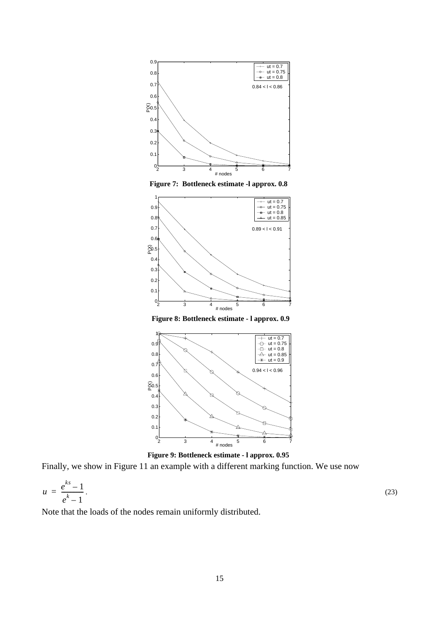<span id="page-14-0"></span>

**Figure 7: Bottleneck estimate -l approx. 0.8**



**Figure 8: Bottleneck estimate - l approx. 0.9**





Finally, we show in Figure [11 a](#page-15-0)n example with a different marking function. We use now

$$
u = \frac{e^{ks} - 1}{e^k - 1}.
$$
 (23)

Note that the loads of the nodes remain uniformly distributed.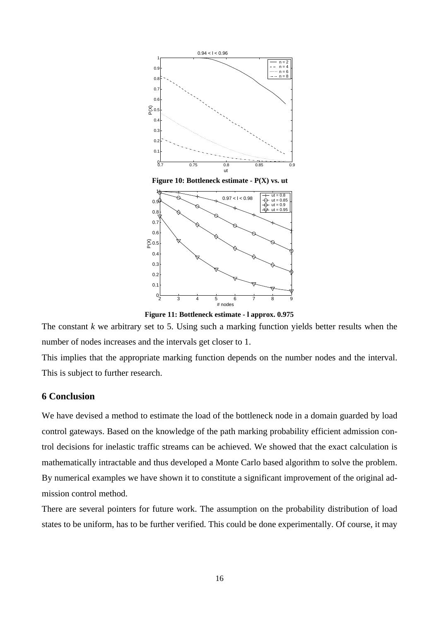<span id="page-15-0"></span>

**Figure 11: Bottleneck estimate - l approx. 0.975**

The constant *k* we arbitrary set to 5. Using such a marking function yields better results when the number of nodes increases and the intervals get closer to 1.

This implies that the appropriate marking function depends on the number nodes and the interval. This is subject to further research.

## **6 Conclusion**

We have devised a method to estimate the load of the bottleneck node in a domain guarded by load control gateways. Based on the knowledge of the path marking probability efficient admission control decisions for inelastic traffic streams can be achieved. We showed that the exact calculation is mathematically intractable and thus developed a Monte Carlo based algorithm to solve the problem. By numerical examples we have shown it to constitute a significant improvement of the original admission control method.

There are several pointers for future work. The assumption on the probability distribution of load states to be uniform, has to be further verified. This could be done experimentally. Of course, it may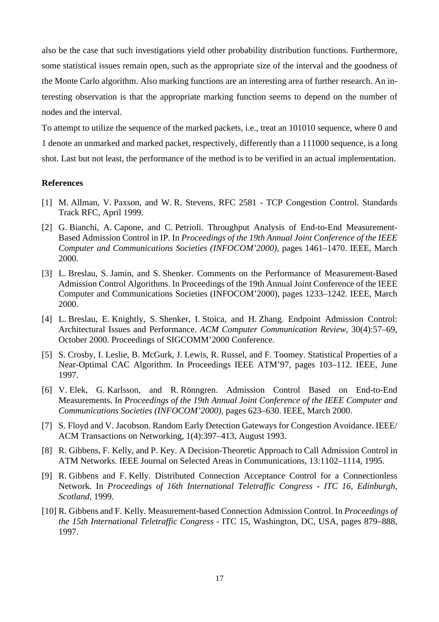<span id="page-16-0"></span>also be the case that such investigations yield other probability distribution functions. Furthermore, some statistical issues remain open, such as the appropriate size of the interval and the goodness of the Monte Carlo algorithm. Also marking functions are an interesting area of further research. An interesting observation is that the appropriate marking function seems to depend on the number of nodes and the interval.

To attempt to utilize the sequence of the marked packets, i.e., treat an 101010 sequence, where 0 and 1 denote an unmarked and marked packet, respectively, differently than a 111000 sequence, is a long shot. Last but not least, the performance of the method is to be verified in an actual implementation.

### **References**

- [1] M. Allman, V. Paxson, and W. R. Stevens. RFC 2581 TCP Congestion Control. Standards Track RFC, April 1999.
- [2] G. Bianchi, A. Capone, and C. Petrioli. Throughput Analysis of End-to-End Measurement-Based Admission Control in IP. In *Proceedings of the 19th Annual Joint Conference of the IEEE Computer and Communications Societies (INFOCOM'2000)*, pages 1461–1470. IEEE, March 2000.
- [3] L. Breslau, S. Jamin, and S. Shenker. Comments on the Performance of Measurement-Based Admission Control Algorithms. In Proceedings of the 19th Annual Joint Conference of the IEEE Computer and Communications Societies (INFOCOM'2000), pages 1233–1242. IEEE, March 2000.
- [4] L. Breslau, E. Knightly, S. Shenker, I. Stoica, and H. Zhang. Endpoint Admission Control: Architectural Issues and Performance. *ACM Computer Communication Review*, 30(4):57–69, October 2000. Proceedings of SIGCOMM'2000 Conference.
- [5] S. Crosby, I. Leslie, B. McGurk, J. Lewis, R. Russel, and F. Toomey. Statistical Properties of a Near-Optimal CAC Algorithm. In Proceedings IEEE ATM'97, pages 103–112. IEEE, June 1997.
- [6] V. Elek, G. Karlsson, and R. Rönngren. Admission Control Based on End-to-End Measurements. In *Proceedings of the 19th Annual Joint Conference of the IEEE Computer and Communications Societies (INFOCOM'2000)*, pages 623–630. IEEE, March 2000.
- [7] S. Floyd and V. Jacobson. Random Early Detection Gateways for Congestion Avoidance. IEEE/ ACM Transactions on Networking, 1(4):397–413, August 1993.
- [8] R. Gibbens, F. Kelly, and P. Key. A Decision-Theoretic Approach to Call Admission Control in ATM Networks. IEEE Journal on Selected Areas in Communications, 13:1102–1114, 1995.
- [9] R. Gibbens and F. Kelly. Distributed Connection Acceptance Control for a Connectionless Network. In *Proceedings of 16th International Teletraffic Congress - ITC 16, Edinburgh, Scotland*, 1999.
- [10] R. Gibbens and F. Kelly. Measurement-based Connection Admission Control. In *Proceedings of the 15th International Teletraffic Congress* - ITC 15, Washington, DC, USA, pages 879–888, 1997.